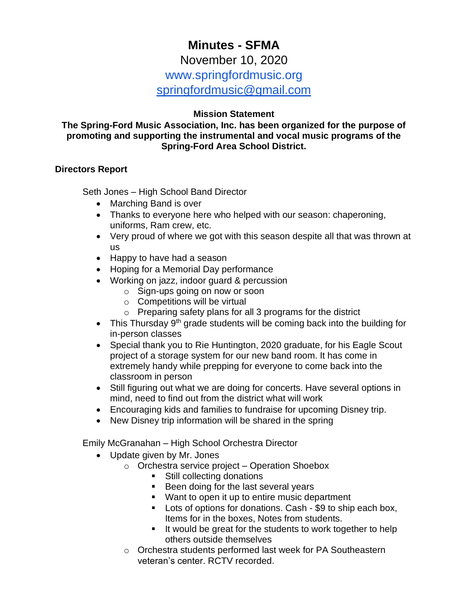# **Minutes - SFMA**

November 10, 2020

www.springfordmusic.org

[springfordmusic@gmail.com](mailto:springfordmusic@gmail.com)

# **Mission Statement**

#### **The Spring-Ford Music Association, Inc. has been organized for the purpose of promoting and supporting the instrumental and vocal music programs of the Spring-Ford Area School District.**

## **Directors Report**

Seth Jones – High School Band Director

- Marching Band is over
- Thanks to everyone here who helped with our season: chaperoning, uniforms, Ram crew, etc.
- Very proud of where we got with this season despite all that was thrown at us
- Happy to have had a season
- Hoping for a Memorial Day performance
- Working on jazz, indoor guard & percussion
	- o Sign-ups going on now or soon
	- o Competitions will be virtual
	- $\circ$  Preparing safety plans for all 3 programs for the district
- This Thursday 9<sup>th</sup> grade students will be coming back into the building for in-person classes
- Special thank you to Rie Huntington, 2020 graduate, for his Eagle Scout project of a storage system for our new band room. It has come in extremely handy while prepping for everyone to come back into the classroom in person
- Still figuring out what we are doing for concerts. Have several options in mind, need to find out from the district what will work
- Encouraging kids and families to fundraise for upcoming Disney trip.
- New Disney trip information will be shared in the spring

Emily McGranahan – High School Orchestra Director

- Update given by Mr. Jones
	- o Orchestra service project Operation Shoebox
		- Still collecting donations
		- Been doing for the last several years
		- Want to open it up to entire music department
		- Lots of options for donations. Cash \$9 to ship each box, Items for in the boxes, Notes from students.
		- It would be great for the students to work together to help others outside themselves
	- o Orchestra students performed last week for PA Southeastern veteran's center. RCTV recorded.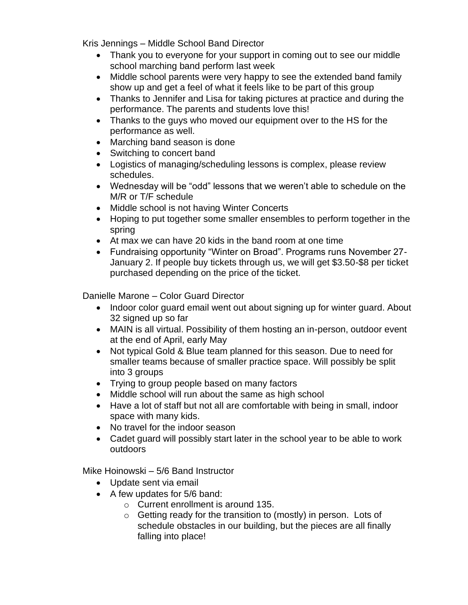Kris Jennings – Middle School Band Director

- Thank you to everyone for your support in coming out to see our middle school marching band perform last week
- Middle school parents were very happy to see the extended band family show up and get a feel of what it feels like to be part of this group
- Thanks to Jennifer and Lisa for taking pictures at practice and during the performance. The parents and students love this!
- Thanks to the guys who moved our equipment over to the HS for the performance as well.
- Marching band season is done
- Switching to concert band
- Logistics of managing/scheduling lessons is complex, please review schedules.
- Wednesday will be "odd" lessons that we weren't able to schedule on the M/R or T/F schedule
- Middle school is not having Winter Concerts
- Hoping to put together some smaller ensembles to perform together in the spring
- At max we can have 20 kids in the band room at one time
- Fundraising opportunity "Winter on Broad". Programs runs November 27- January 2. If people buy tickets through us, we will get \$3.50-\$8 per ticket purchased depending on the price of the ticket.

Danielle Marone – Color Guard Director

- Indoor color quard email went out about signing up for winter quard. About 32 signed up so far
- MAIN is all virtual. Possibility of them hosting an in-person, outdoor event at the end of April, early May
- Not typical Gold & Blue team planned for this season. Due to need for smaller teams because of smaller practice space. Will possibly be split into 3 groups
- Trying to group people based on many factors
- Middle school will run about the same as high school
- Have a lot of staff but not all are comfortable with being in small, indoor space with many kids.
- No travel for the indoor season
- Cadet guard will possibly start later in the school year to be able to work outdoors

Mike Hoinowski – 5/6 Band Instructor

- Update sent via email
- A few updates for 5/6 band:
	- o Current enrollment is around 135.
	- o Getting ready for the transition to (mostly) in person. Lots of schedule obstacles in our building, but the pieces are all finally falling into place!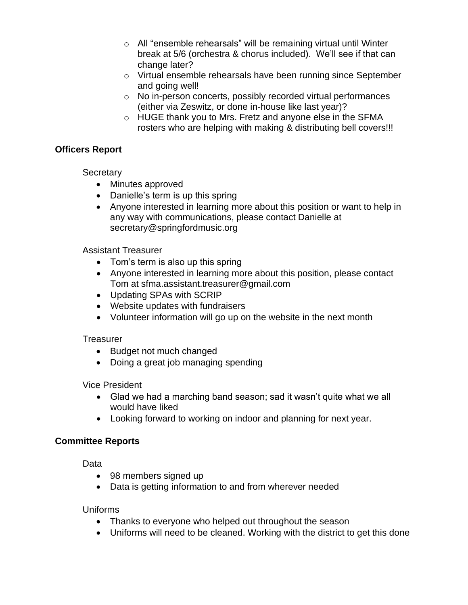- o All "ensemble rehearsals" will be remaining virtual until Winter break at 5/6 (orchestra & chorus included). We'll see if that can change later?
- o Virtual ensemble rehearsals have been running since September and going well!
- o No in-person concerts, possibly recorded virtual performances (either via Zeswitz, or done in-house like last year)?
- o HUGE thank you to Mrs. Fretz and anyone else in the SFMA rosters who are helping with making & distributing bell covers!!!

# **Officers Report**

**Secretary** 

- Minutes approved
- Danielle's term is up this spring
- Anyone interested in learning more about this position or want to help in any way with communications, please contact Danielle at secretary@springfordmusic.org

# Assistant Treasurer

- Tom's term is also up this spring
- Anyone interested in learning more about this position, please contact Tom at sfma.assistant.treasurer@gmail.com
- Updating SPAs with SCRIP
- Website updates with fundraisers
- Volunteer information will go up on the website in the next month

## Treasurer

- Budget not much changed
- Doing a great job managing spending

Vice President

- Glad we had a marching band season; sad it wasn't quite what we all would have liked
- Looking forward to working on indoor and planning for next year.

## **Committee Reports**

Data

- 98 members signed up
- Data is getting information to and from wherever needed

## Uniforms

- Thanks to everyone who helped out throughout the season
- Uniforms will need to be cleaned. Working with the district to get this done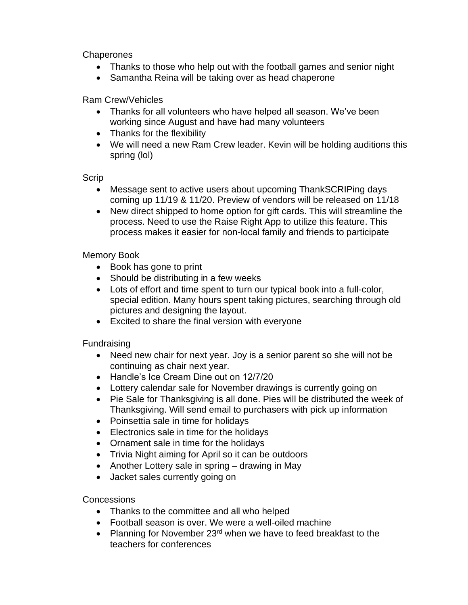**Chaperones** 

- Thanks to those who help out with the football games and senior night
- Samantha Reina will be taking over as head chaperone

## Ram Crew/Vehicles

- Thanks for all volunteers who have helped all season. We've been working since August and have had many volunteers
- Thanks for the flexibility
- We will need a new Ram Crew leader. Kevin will be holding auditions this spring (lol)

## Scrip

- Message sent to active users about upcoming ThankSCRIPing days coming up 11/19 & 11/20. Preview of vendors will be released on 11/18
- New direct shipped to home option for gift cards. This will streamline the process. Need to use the Raise Right App to utilize this feature. This process makes it easier for non-local family and friends to participate

## Memory Book

- Book has gone to print
- Should be distributing in a few weeks
- Lots of effort and time spent to turn our typical book into a full-color, special edition. Many hours spent taking pictures, searching through old pictures and designing the layout.
- Excited to share the final version with everyone

## Fundraising

- Need new chair for next year. Joy is a senior parent so she will not be continuing as chair next year.
- Handle's Ice Cream Dine out on 12/7/20
- Lottery calendar sale for November drawings is currently going on
- Pie Sale for Thanksgiving is all done. Pies will be distributed the week of Thanksgiving. Will send email to purchasers with pick up information
- Poinsettia sale in time for holidays
- Electronics sale in time for the holidays
- Ornament sale in time for the holidays
- Trivia Night aiming for April so it can be outdoors
- Another Lottery sale in spring drawing in May
- Jacket sales currently going on

## Concessions

- Thanks to the committee and all who helped
- Football season is over. We were a well-oiled machine
- Planning for November  $23<sup>rd</sup>$  when we have to feed breakfast to the teachers for conferences